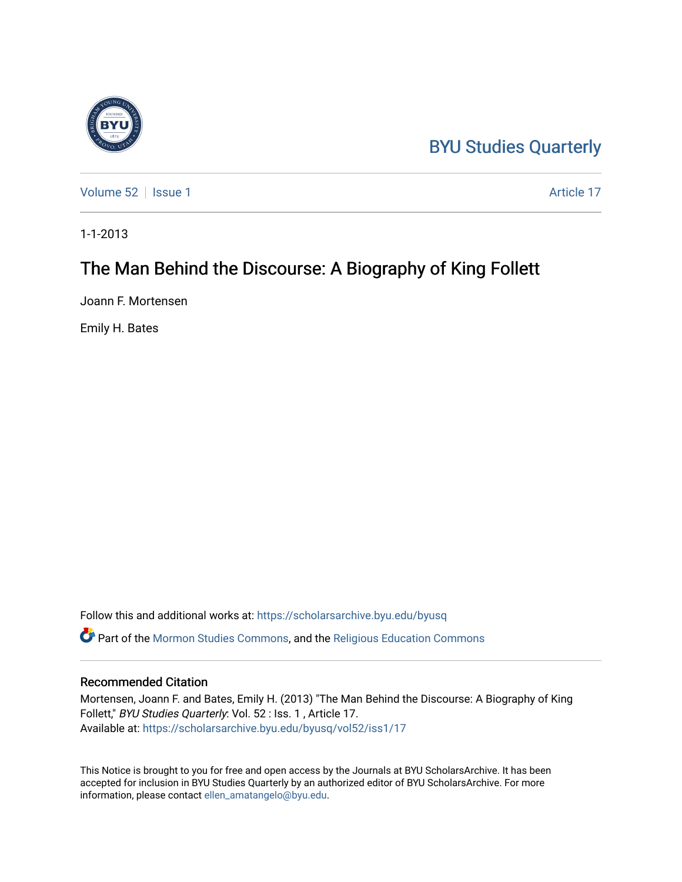## [BYU Studies Quarterly](https://scholarsarchive.byu.edu/byusq)

[Volume 52](https://scholarsarchive.byu.edu/byusq/vol52) | [Issue 1](https://scholarsarchive.byu.edu/byusq/vol52/iss1) Article 17

1-1-2013

## The Man Behind the Discourse: A Biography of King Follett

Joann F. Mortensen

Emily H. Bates

Follow this and additional works at: [https://scholarsarchive.byu.edu/byusq](https://scholarsarchive.byu.edu/byusq?utm_source=scholarsarchive.byu.edu%2Fbyusq%2Fvol52%2Fiss1%2F17&utm_medium=PDF&utm_campaign=PDFCoverPages)  Part of the [Mormon Studies Commons](http://network.bepress.com/hgg/discipline/1360?utm_source=scholarsarchive.byu.edu%2Fbyusq%2Fvol52%2Fiss1%2F17&utm_medium=PDF&utm_campaign=PDFCoverPages), and the [Religious Education Commons](http://network.bepress.com/hgg/discipline/1414?utm_source=scholarsarchive.byu.edu%2Fbyusq%2Fvol52%2Fiss1%2F17&utm_medium=PDF&utm_campaign=PDFCoverPages) 

## Recommended Citation

Mortensen, Joann F. and Bates, Emily H. (2013) "The Man Behind the Discourse: A Biography of King Follett," BYU Studies Quarterly: Vol. 52 : Iss. 1 , Article 17. Available at: [https://scholarsarchive.byu.edu/byusq/vol52/iss1/17](https://scholarsarchive.byu.edu/byusq/vol52/iss1/17?utm_source=scholarsarchive.byu.edu%2Fbyusq%2Fvol52%2Fiss1%2F17&utm_medium=PDF&utm_campaign=PDFCoverPages) 

This Notice is brought to you for free and open access by the Journals at BYU ScholarsArchive. It has been accepted for inclusion in BYU Studies Quarterly by an authorized editor of BYU ScholarsArchive. For more information, please contact [ellen\\_amatangelo@byu.edu.](mailto:ellen_amatangelo@byu.edu)